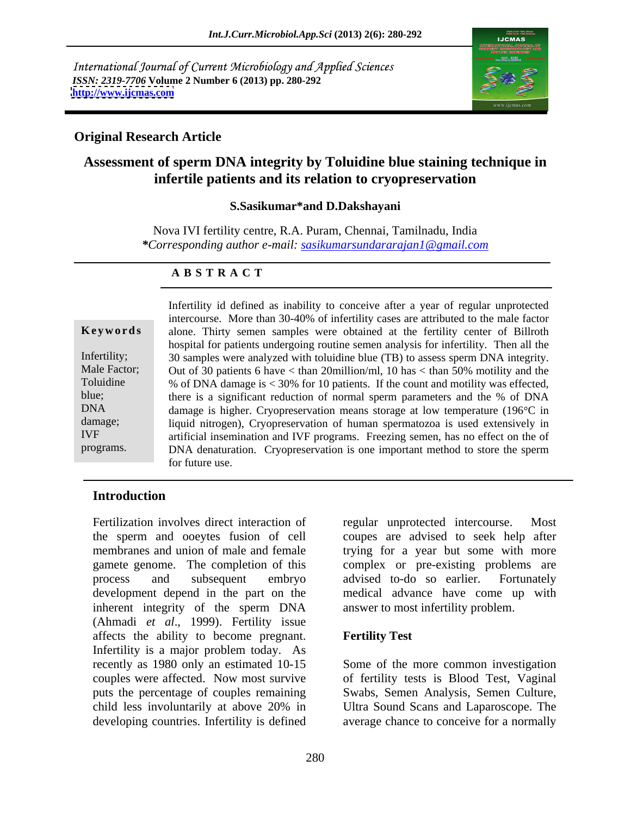International Journal of Current Microbiology and Applied Sciences *ISSN: 2319-7706* **Volume 2 Number 6 (2013) pp. 280-292 <http://www.ijcmas.com>**



# **Original Research Article**

# **Assessment of sperm DNA integrity by Toluidine blue staining technique in infertile patients and its relation to cryopreservation**

### **S.Sasikumar\*and D.Dakshayani**

Nova IVI fertility centre, R.A. Puram, Chennai, Tamilnadu, India *\*Corresponding author e-mail: sasikumarsundararajan1@gmail.com*

### **A B S T R A C T**

damage; liquid nitrogen), Cryopreservation means storage at low temperature (196 C in damage; **Keywords** alone. Thirty semen samples were obtained at the fertility center of Billroth Infertility; 30 samples were analyzed with toluidine blue (TB) to assess sperm DNA integrity. Male Factor; Out of 30 patients 6 have  $\lt$  than 20 million/ml, 10 has  $\lt$  than 50% motility and the Toluidine % of DNA damage is < 30% for 10 patients. If the count and motility was effected, blue; there is a significant reduction of normal sperm parameters and the % of DNA DNA damage is higher. Cryopreservation means storage at low temperature (196°C in IVF artificial insemination and IVF programs. Freezing semen, has no effect on the of programs. DNA denaturation. Cryopreservation is one important method to store the sperm Infertility id defined as inability to conceive after a year of regular unprotected intercourse. More than 30-40% of infertility cases are attributed to the male factor hospital for patients undergoing routine semen analysis for infertility. Then all the for future use.

### **Introduction**

Fertilization involves direct interaction of equal unprotected intercourse. Most the sperm and ooeytes fusion of cell membranes and union of male and female trying for a year but some with more gamete genome. The completion of this complex or pre-existing problems are process and subsequent embryo development depend in the part on the inherent integrity of the sperm DNA (Ahmadi *et al*., 1999). Fertility issue affects the ability to become pregnant. **Fertility Test**<br>Infertility is a major problem today. As recently as 1980 only an estimated 10-15 Some of the more common investigation couples were affected. Now most survive of fertility tests is Blood Test, Vaginal puts the percentage of couples remaining Swabs, Semen Analysis, Semen Culture, child less involuntarily at above 20% in Ultra Sound Scans and Laparoscope. The developing countries. Infertility is defined average chance to conceive for a normally

regular unprotected intercourse. coupes are advised to seek help after advised to-do so earlier. Fortunately medical advance have come up with answer to most infertility problem.

# **Fertility Test**

Swabs, Semen Analysis, Semen Culture, Ultra Sound Scans and Laparoscope. The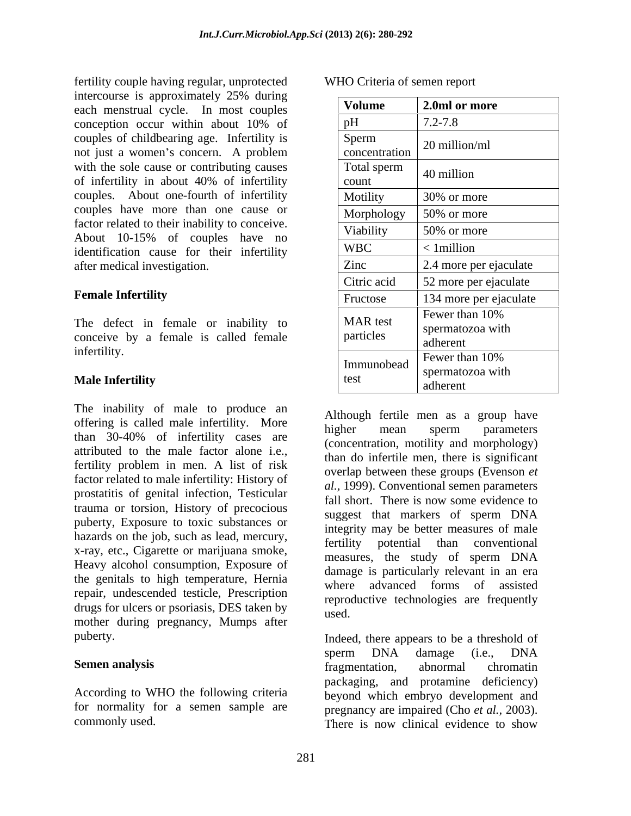fertility couple having regular, unprotected intercourse is approximately 25% during each menstrual cycle. In most couples couples of childbearing age. Infertility is not just a women's concern. A problem with the sole cause or contributing causes couples. About one-fourth of infertility couples have more than one cause or factor related to their inability to conceive. About 10-15% of couples have no identification cause for their infertility after medical investigation.

The inability of male to produce an offering is called male infertility. More higher mean sperm parameters than 30-40% of infertility cases are attributed to the male factor alone i.e., fertility problem in men. A list of risk factor related to male infertility: History of prostatitis of genital infection, Testicular trauma or torsion, History of precocious puberty, Exposure to toxic substances or hazards on the job, such as lead, mercury,<br>fertility potential than conventional x-ray, etc., Cigarette or marijuana smoke,<br>measures, the study of sperm DNA Heavy alcohol consumption, Exposure of the genitals to high temperature, Hernia repair, undescended testicle, Prescription drugs for ulcers or psoriasis, DES taken by used. mother during pregnancy, Mumps after

According to WHO the following criteria commonly used. There is now clinical evidence to show

| <b>WHO Cri</b><br>Criteria of semen report |  |
|--------------------------------------------|--|
|                                            |  |

| intercourse is approximately 25% during        |                 |                                         |
|------------------------------------------------|-----------------|-----------------------------------------|
| each menstrual cycle. In most couples          | Volume          | 2.0ml or more                           |
| conception occur within about 10% of           |                 | $7.2 - 7.8$                             |
| couples of childbearing age. Infertility is    | Sperm           | 20 million/ml                           |
| not just a women's concern. A problem          | concentration   |                                         |
| with the sole cause or contributing causes     | Total sperm     | $\vert$ 40 million                      |
| of infertility in about 40% of infertility     | count           |                                         |
| couples. About one-fourth of infertility       | Motility        | 30% or more                             |
| couples have more than one cause or            |                 | Morphology $\Big  50\%$ or more         |
| factor related to their inability to conceive. | Viability       | 50% or more                             |
| About 10-15% of couples have no                | <b>WBC</b>      | $< 1$ million                           |
| identification cause for their infertility     | Zinc            |                                         |
| after medical investigation.                   |                 | 2.4 more per ejaculate                  |
|                                                | Citric acid     | 52 more per ejaculate                   |
| <b>Female Infertility</b>                      | Fructose        | 134 more per ejaculate                  |
|                                                | <b>MAR</b> test | Fewer than 10%                          |
| The defect in female or inability to           | particles       | I spermatozoa with                      |
| conceive by a female is called female          |                 | adherent                                |
| infertility.                                   |                 | $\mid$ Immunobead $\mid$ Fewer than 10% |
| Male Infertility                               | test            | spermatozoa with                        |
|                                                |                 | adherent                                |

Although fertile men as a group have higher mean sperm parameters (concentration, motility and morphology) than do infertile men, there is significant overlap between these groups (Evenson *et al.,* 1999). Conventional semen parameters fall short. There is now some evidence to suggest that markers of sperm DNA integrity may be better measures of male fertility potential than conventional measures, the study of sperm DNA damage is particularly relevant in an era where advanced forms of assisted reproductive technologies are frequently used. The contract of the contract of the contract of the contract of the contract of the contract of the contract of the contract of the contract of the contract of the contract of the contract of the contract of the cont

puberty. Indeed, there appears to be a threshold of **Semen analysis Sementation** *s* **Examplementation** *s chromation <i>s chromation s chromation s* for normality for a semen sample are pregnancy are impaired (Cho *et al.,* 2003). sperm DNA damage (i.e., DNA fragmentation, abnormal chromatin packaging, and protamine deficiency) beyond which embryo development and There is now clinical evidence to show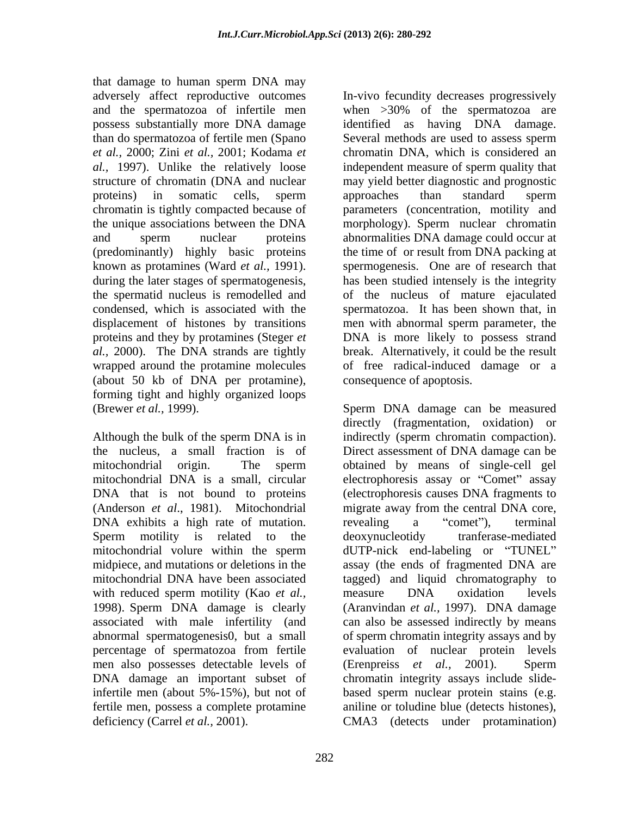that damage to human sperm DNA may than do spermatozoa of fertile men (Spano *et al.,* 2000; Zini *et al.,*2001; Kodama *et* chromatin is tightly compacted because of (predominantly) highly basic proteins the time of or result from DNA packing at (about 50 kb of DNA per protamine), forming tight and highly organized loops

DNA exhibits a high rate of mutation. The revealing a "comet"), terminal with reduced sperm motility (Kao *et al.*, measure DNA oxidation levels 1998). Sperm DNA damage is clearly percentage of spermatozoa from fertile men also possesses detectable levels of (Erenpreiss *et al.*, 2001). Sperm fertile men, possess a complete protamine deficiency (Carrel *et al.,* 2001). CMA3 (detects under protamination)

adversely affect reproductive outcomes In-vivo fecundity decreases progressively and the spermatozoa of infertile men when >30% of the spermatozoa are possess substantially more DNA damage identified as having DNA damage. *al.,* 1997). Unlike the relatively loose independent measure of sperm quality that structure of chromatin (DNA and nuclear may yield better diagnostic and prognostic proteins) in somatic cells, sperm the unique associations between the DNA morphology). Sperm nuclear chromatin and sperm nuclear proteins abnormalities DNA damage could occur at known as protamines (Ward *et al.,* 1991). spermogenesis. One are of research that during the later stages of spermatogenesis, has been studied intensely is the integrity the spermatid nucleus is remodelled and of the nucleus of mature ejaculated condensed, which is associated with the spermatozoa. It has been shown that, in displacement of histones by transitions men with abnormal sperm parameter, the proteins and they by protamines (Steger *et* DNA is more likely to possess strand *al.,* 2000). The DNA strands are tightly break. Alternatively, it could be the result wrapped around the protamine molecules of free radical-induced damage or a Several methods are used to assess sperm chromatin DNA, which is considered an approaches than standard sperm parameters (concentration, motility and the time of or result from DNA packing at consequence of apoptosis.

(Brewer *et al.,* 1999). Sperm DNA damage can be measured Although the bulk of the sperm DNA is in indirectly (sperm chromatin compaction). the nucleus, a small fraction is of Direct assessment of DNA damage can be mitochondrial origin. The sperm obtained by means of single-cell gel mitochondrial DNA is a small, circular electrophoresis assay or "Comet" assay DNA that is not bound to proteins (electrophoresis causes DNA fragments to (Anderson *et al*., 1981). Mitochondrial migrate away from the central DNA core, Sperm motility is related to the deoxynucleotidy tranferase-mediated mitochondrial volure within the sperm dUTP-nick end-labeling or "TUNEL" midpiece, and mutations or deletions in the assay (the ends of fragmented DNA are mitochondrial DNA have been associated tagged) and liquid chromatography to associated with male infertility (and can also be assessed indirectly by means abnormal spermatogenesis0, but a small of sperm chromatin integrity assays and by DNA damage an important subset of chromatin integrity assays include slide infertile men (about 5%-15%), but not of based sperm nuclear protein stains (e.g. directly (fragmentation, oxidation) or revealing a "comet"), terminal deoxynucleotidy tranferase-mediated measure DNA oxidation levels (Aranvindan *et al.,* 1997). DNA damage evaluation of nuclear protein levels (Erenpreiss *et al.,* 2001). Sperm aniline or toludine blue (detects histones),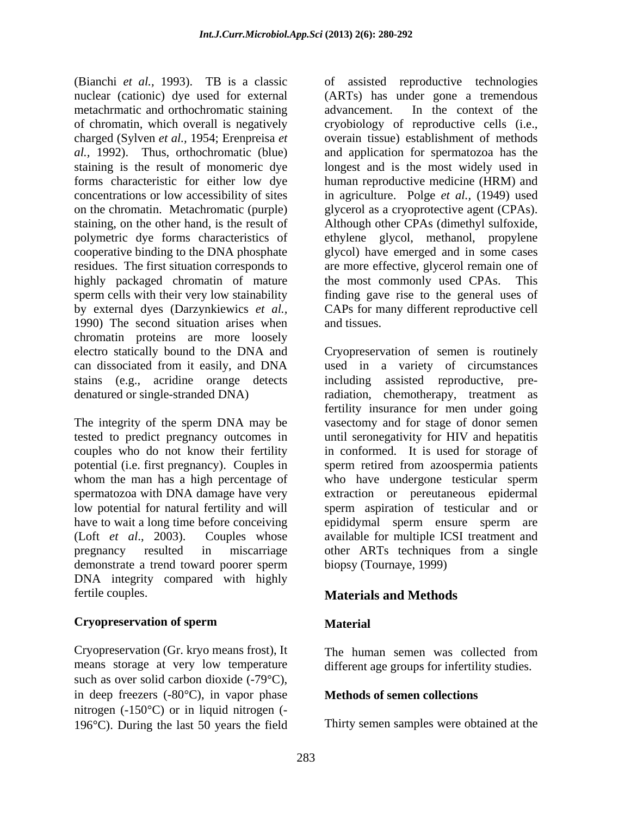(Bianchi *et al.,* 1993). TB is a classic nuclear (cationic) dye used for external (ARTs) has under gone a tremendous metachrmatic and orthochromatic staining advancement. In the context of the of chromatin, which overall is negatively cryobiology of reproductive cells (i.e., charged (Sylven *et al.,* 1954; Erenpreisa *et* overain tissue) establishment of methods *al.,* 1992). Thus, orthochromatic (blue) and application for spermatozoa has the staining is the result of monomeric dye longestand is the most widely used in forms characteristic for either low dye human reproductive medicine (HRM) and concentrations or low accessibility of sites in agriculture. Polge *et al.,* (1949) used on the chromatin. Metachromatic (purple) glycerol as a cryoprotective agent (CPAs). staining, on the other hand, is the result of Although other CPAs (dimethyl sulfoxide, polymetric dye forms characteristics of ethylene glycol, methanol, propylene cooperative binding to the DNA phosphate glycol) have emerged and in some cases residues. The first situation corresponds to are more effective, glycerol remain one of highly packaged chromatin of mature sperm cells with their very low stainability finding gave rise to the general uses of by external dyes (Darzynkiewics *et al.,* CAPs for many different reproductive cell 1990) The second situation arises when and tissues. chromatin proteins are more loosely electro statically bound to the DNA and Cryopreservation of semen is routinely can dissociated from it easily, and DNA used in a variety of circumstances stains (e.g., acridine orange detects including assisted reproductive, predenatured or single-stranded DNA) radiation, chemotherapy, treatment as

tested to predict pregnancy outcomes in<br>couples who do not know their fertility whom the man has a high percentage of demonstrate a trend toward poorer sperm DNA integrity compared with highly fertile couples. **Materials and Methods**

### **Cryopreservation of sperm**

Cryopreservation (Gr. kryo means frost), It means storage at very low temperature such as over solid carbon dioxide  $(-79^{\circ}C)$ , in deep freezers  $(-80^{\circ}C)$ , in vapor phase nitrogen  $(-150^{\circ}C)$  or in liquid nitrogen  $(-150^{\circ}C)$ 196 $\degree$ C). During the last 50 years the field of assisted reproductive technologies advancement. In the context of the the most commonly used CPAs. This and tissues.

The integrity of the sperm DNA may be vasectomy and for stage of donor semen couples who do not know their fertility in conformed. It is used for storage of potential (i.e. first pregnancy). Couples in sperm retired from azoospermia patients spermatozoa with DNA damage have very extraction or pereutaneous epidermal low potential for natural fertility and will sperm aspiration of testicular and or have to wait a long time before conceiving epididymal sperm ensure sperm are (Loft *et al*., 2003). Couples whose available for multiple ICSI treatment and pregnancy resulted in miscarriage other ARTs techniques from a single fertility insurance for men under going until seronegativity for HIV and hepatitis who have undergone testicular sperm biopsy (Tournaye, 1999)

# **Material**

The human semen was collected from different age groups for infertility studies.

# **Methods of semen collections**

Thirty semen samples were obtained at the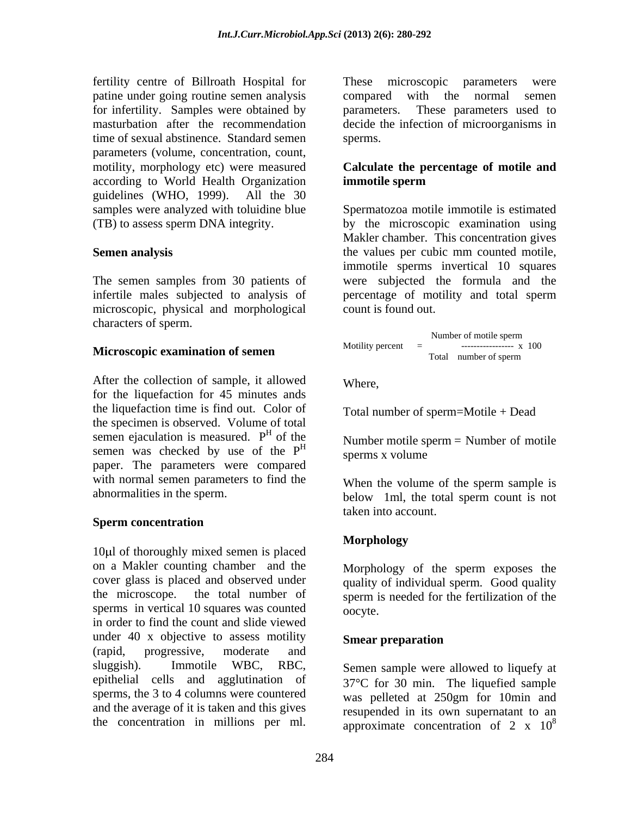fertility centre of Billroath Hospital for patine under going routine semen analysis compared with the normal semen for infertility. Samples were obtained by parameters. These parameters used to masturbation after the recommendation decide the infection of microorganisms in time of sexual abstinence. Standard semen parameters (volume, concentration, count, motility, morphology etc) were measured **Calculate the percentage of motile and** according to World Health Organization guidelines (WHO, 1999). All the 30 samples were analyzed with toluidine blue

The semen samples from 30 patients of microscopic, physical and morphological characters of sperm.

# **Microscopic examination of semen**

After the collection of sample, it allowed Where, for the liquefaction for 45 minutes ands the liquefaction time is find out. Color of the specimen is observed. Volume of total semen ejaculation is measured.  $P<sup>H</sup>$  of the semen was checked by use of the  $P<sup>H</sup>$  sperms x volume paper. The parameters were compared with normal semen parameters to find the When the volume of the sperm sample is

### **Sperm concentration**

10 l of thoroughly mixed semen is placed on a Makler counting chamber and the cover glass is placed and observed under the microscope. the total number of sperm is needed for the fertilization of the sperms in vertical 10 squares was counted oocyte. in order to find the count and slide viewed under 40 x objective to assess motility Smear preparation (rapid, progressive, moderate and sluggish). Immotile WBC, RBC, Semen sample were allowed to liquefy at epithelial cells and agglutination of sperms, the 3 to 4 columns were countered and the average of it is taken and this gives fertility content of Billionshi Responsibles for the microscopic parameters. These microscopic parameters were contentration in millions per microscopic parameters were contentration in millions were contentrate to exact

compared with the normal semen parameters. These parameters used to sperms.

# **immotile sperm**

(TB) to assess sperm DNA integrity. by the microscopic examination using **Semen analysis** the values per cubic mm counted motile, infertile males subjected to analysis of percentage of motility and total sperm Spermatozoa motile immotile is estimated Makler chamber. This concentration gives the values per cubic mm counted motile, immotile sperms invertical 10 squares were subjected the formula and the count is found out.

 Number of motile sperm Motility percent = ----------------- x 100 Total number of sperm

Where,

Total number of sperm=Motile + Dead

of the Number motile sperm  $=$  Number of motile sperms x volume

abnormalities in the sperm. below 1ml, the total sperm count is not When the volume of the sperm sample is taken into account.

# **Morphology**

Morphology of the sperm exposes the quality of individual sperm. Good quality oocyte.

# **Smear preparation**

37 C for 30 min. The liquefied sample was pelleted at 250gm for 10min and resupended in its own supernatant to an approximate concentration of 2 x  $10^8$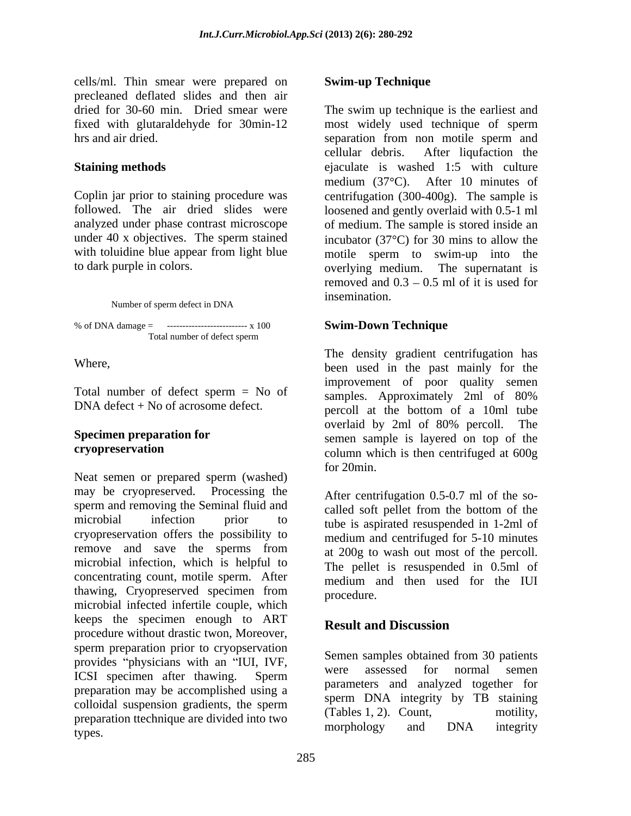cells/ml. Thin smear were prepared on Swim-up Technique precleaned deflated slides and then air dried for 30-60 min. Dried smear were fixed with glutaraldehyde for 30min-12 most widely used technique of sperm hrs and air dried. Separation from non-motile sperm and separation from non-motile sperm and

to dark purple in colors. overlying medium. The supernatant is

% of DNA damage =  $\cdots$ --------------------------- x 100 Total number of defect sperm

Neat semen or prepared sperm (washed) may be cryopreserved. Processing the sperm and removing the Seminal fluid and microbial infection prior to tube is aspirated resuspended in 1-2ml of cryopreservation offers the possibility to remove and save the sperms from microbial infection, which is helpful to concentrating count, motile sperm. After<br>thawing, Cryopreserved specimen from thawing, Cryopreserved specimen from <sub>procedure</sub> thawing, Cryopreserved specimen from procedure.<br>microbial infected infertile couple, which keeps the specimen enough to ART **Result and Discussion** procedure without drastic twon, Moreover, sperm preparation prior to cryopservation provides "physicians with an "IUI, IVF,<br>were assessed for normal sement ICSI specimen after thawing. Sperm were assessed for normal senion preparation may be accomplished using a colloidal suspension gradients, the sperm  $\sum_{\text{cTable 1, 2}}^{\text{spcIII}}$   $\sum_{\text{C event}}^{\text{Huey}}$  of  $\sum_{\text{metilliv}}^{\text{Huey}}$ preparation ttechnique are divided into two<br>terms and the morphology and DNA integrity types. The example of the control of the control of the control of the control of the control of the control of the control of the control of the control of the control of the control of the control of the control of the c

# **Swim-up Technique**

dried for 30-60 min. Dried smear were The swim up technique is the earliest and **Staining methods e**jaculate is washed 1:5 with culture Coplin jar prior to staining procedure was centrifugation (300-400g). The sample is followed. The air dried slides were loosened and gently overlaid with 0.5-1 ml analyzed under phase contrast microscope of medium. The sample is stored inside an under 40 x objectives. The sperm stained incubator  $(37^{\circ}C)$  for 30 mins to allow the with toluidine blue appear from light blue motile sperm to swim-up into the Number of sperm defect in DNA insemination. most widely used technique of sperm separation from non motile sperm and cellular debris. After liqufaction the medium  $(37^{\circ}C)$ . After 10 minutes of overlying medium. The supernatant is removed and  $0.3 - 0.5$  ml of it is used for insemination.

# **Swim-Down Technique**

Where, been used in the past mainly for the Total number of defect sperm = No of  $\frac{1}{2}$  cannos Approximately 2ml of 80%  $DNA defect + No of acrossome defect.$  percoll at the bottom of a 10ml tube **Specimen preparation for** semen sample is layered on top of the **cryopreservation** column which is then centrifuged at 600g The density gradient centrifugation has improvement of poor quality semen samples. Approximately 2ml of 80% overlaid by 2ml of 80% percoll. The for 20min.

> After centrifugation 0.5-0.7 ml of the so called soft pellet from the bottom of the medium and centrifuged for 5-10 minutes at 200g to wash out most of the percoll. The pellet is resuspended in 0.5ml of medium and then used for the IUI procedure.

# **Result and Discussion**

Semen samples obtained from 30 patients were assessed for normal semen parameters and analyzed together for sperm DNA integrity by TB staining  $(Tables 1, 2)$ . Count, morphology and DNA integrity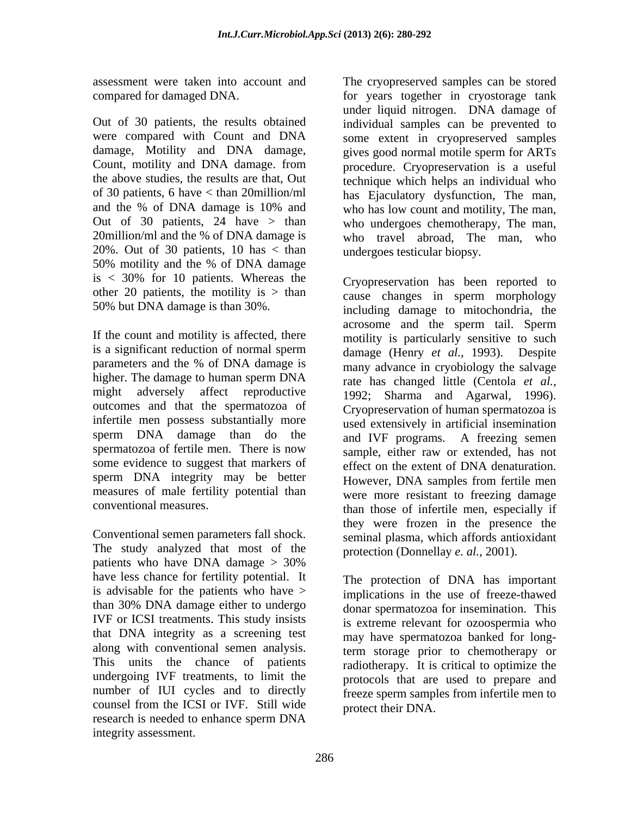20%. Out of 30 patients, 10 has < than 50% motility and the % of DNA damage is  $\langle$  30% for 10 patients. Whereas the  $\langle$  Cryopreservation has been reported to other 20 patients, the motility is  $>$  than

If the count and motility is affected, there is a significant reduction of normal sperm higher. The damage to human sperm DNA might adversely affect reproductive 1992; Sharma and Agarwal, 1996). outcomes and that the spermatozoa of Cryopreservation of human spermatozoa is infertile men possess substantially more some evidence to suggest that markers of sperm DNA integrity may be better measures of male fertility potential than

Conventional semen parameters fall shock. The study analyzed that most of the patients who have DNA damage  $> 30\%$ have less chance for fertility potential. It is advisable for the patients who have  $>$ than 30% DNA damage either to undergo IVF or ICSI treatments. This study insists that DNA integrity as a screening test along with conventional semen analysis. This units the chance of patients undergoing IVF treatments, to limit the number of IUI cycles and to directly counsel from the ICSI or IVF. Still wide research is needed to enhance sperm DNA integrity assessment.

assessment were taken into account and The cryopreserved samples can be stored compared for damaged DNA. for years together in cryostorage tank Out of 30 patients, the results obtained individual samples can be prevented to were compared with Count and DNA some extent in cryopreserved samples damage, Motility and DNA damage, gives good normal motile sperm for ARTs Count, motility and DNA damage. from procedure. Cryopreservation is a useful the above studies, the results are that, Out technique which helps an individual who of 30 patients, 6 have < than 20million/ml has Ejaculatory dysfunction, The man, and the % of DNA damage is 10% and who has low count and motility, The man, Out of 30 patients, 24 have > than who undergoes chemotherapy, The man, 20million/ml and the % of DNA damage is who travel abroad, The man, who under liquid nitrogen. DNA damage of undergoes testicular biopsy.

50% but DNA damage is than 30%. including damage to mitochondria, the parameters and the % of DNA damage is many advance in cryobiology the salvage sperm DNA damage than do the and IVF programs. A freezing semen spermatozoa of fertile men. There is now sample, either raw or extended has not conventional measures. than those of infertile men, especially if Cryopreservation has been reported to cause changes in sperm morphology acrosome and the sperm tail. Sperm motility is particularly sensitive to such damage (Henry *et al.,* 1993). Despite many advance in cryobiology the salvage rate has changed little (Centola *et al.,* 1992; Sharma and Agarwal, 1996). Cryopreservation of human spermatozoa is used extensively in artificial insemination sample, either raw or extended, has not effect on the extent of DNA denaturation. However, DNA samples from fertile men were more resistant to freezing damage they were frozen in the presence the seminal plasma, which affords antioxidant protection (Donnellay *e. al.,* 2001).

> The protection of DNA has important implications in the use of freeze-thawed donar spermatozoa for insemination. This is extreme relevant for ozoospermia who may have spermatozoa banked for longterm storage prior to chemotherapy or radiotherapy. It is critical to optimize the protocols that are used to prepare and freeze sperm samples from infertile men to protect their DNA.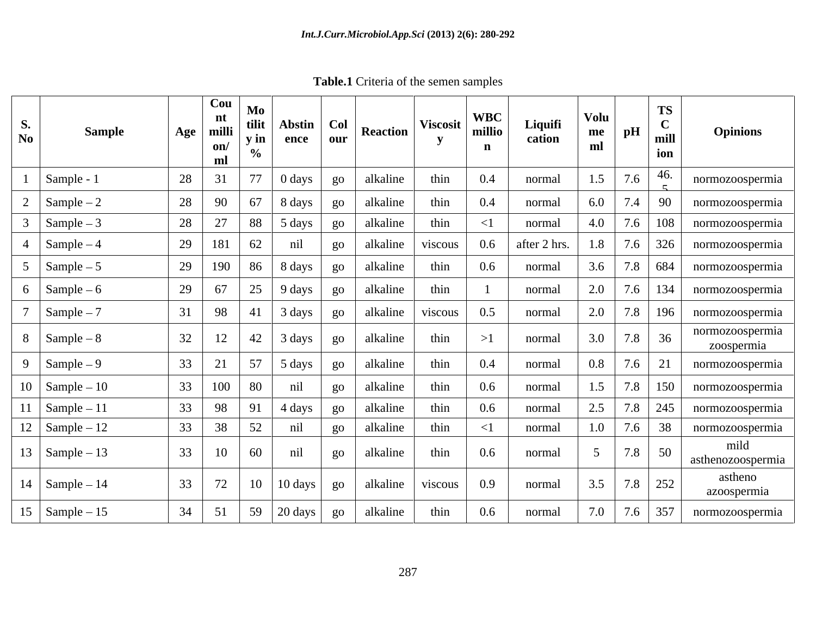**Table.1** Criteria of the semen samples

| <b>Sample</b><br>$\overline{N_0}$ | $\mid$ Cou $\mid$ Mo $\mid$<br>nt<br>milli<br>Age<br>on/<br>ml | tilit<br>$\mathbf{v}$ in                                                   | Abstin   Col<br>$ $ ence $ $ our                 | <b>Reaction</b> | <b>Viscosit</b> | <b>WBC</b><br>millio | Liquifi<br>cation | Volu<br>${\bf m}{\bf e}$<br>ml | <b>TS</b><br>$\sqrt{ }$<br>pH<br>mill<br>ion | <b>Opinions</b>               |
|-----------------------------------|----------------------------------------------------------------|----------------------------------------------------------------------------|--------------------------------------------------|-----------------|-----------------|----------------------|-------------------|--------------------------------|----------------------------------------------|-------------------------------|
| Sample - 1                        | 28<br>31                                                       | 77<br>0 days                                                               | $g_0$                                            | alkaline        | thin            | 0.4                  | normal            |                                | -46.<br>7.6                                  | normozoospermia               |
| $2 \int$ Sample – 2               | 28<br>90                                                       | 67<br>$\vert$ 8 days                                                       | $\rm go$                                         | alkaline        | thin            | $0.4\,$              | normal            | 6.0                            | 7.4 90                                       | normozoospermia               |
| $\text{Sample} - 3$               | 28<br>27                                                       | 88<br>5 days                                                               | $\left  \begin{array}{c} 80 \end{array} \right $ | alkaline        | thin            |                      | normal            | 4.0                            | $\mid 7.6 \mid 108 \mid$                     | normozoospermia               |
| 4 $\Big \text{Sample}-4\Big $     | 29<br>181                                                      | 62<br>nil                                                                  | go                                               | alkaline        | viscous         | $0.6\,$              | after 2 hrs.      | 1.8                            | $7.6$ 326                                    | normozoospermia               |
| $5 \quad \text{Sample} - 5$       | 29                                                             | 190   86   8 days                                                          | $\boldsymbol{\mathsf{go}}$                       | alkaline        | thin            | $0.6\,$              | normal            | 3.6                            |                                              | 7.8   684   normozoospermia   |
| $6 \quad \text{Sample} - 6$       | 29<br>67                                                       | 25<br>$-$   9 days 1                                                       | $g_{0}$                                          | alkaline        | thin            |                      | normal            | 2.0                            |                                              | 7.6   134   normozoospermia   |
| $\text{Sample} - 7$               | 98                                                             | 3 days<br>$-41$                                                            | $g_{O}$                                          | alkaline        | viscous         | 0.5                  | normal            | 2.0                            | $7.8$ 196                                    | normozoospermia               |
| $8$ Sample – 8                    | 32<br>12                                                       | $\begin{array}{ c c }$ 42 3 days                                           | $_{\rm{go}}$                                     | alkaline        | thin            |                      | normal            | 3.0                            | $7.8$ 36                                     | normozoospermia<br>zoospermia |
| 9 $\Big $ Sample – 9              | 33<br>21                                                       | $\begin{array}{ c c c c c } \hline 57 & 5 \text{ days} \end{array}$        | $g_0$                                            | alkaline        | thin            | 0.4                  | normal            | 0.8                            | 7.6<br>-21                                   | normozoospermia               |
| $10$ Sample – 10                  | 100                                                            | nil<br>80                                                                  | $g_{O}$                                          | alkaline        | thin            | 0.6                  | normal            |                                | 7.8 150                                      | normozoospermia               |
| $11$ Sample – 11                  | 98                                                             | 91<br>4 days                                                               | $g_{O}$                                          | alkaline        | thin            | $0.6\,$              | normal            | 2.5                            | 7.8 245                                      | normozoospermia               |
| $12$ Sample – 12                  | 33<br>38                                                       | 52<br>nil                                                                  | $g_{O}$                                          | alkaline        | thin            |                      | normal            | 1.0                            | 7.6 38                                       | normozoospermia               |
| 13   Sample $-13$                 | 33<br>10                                                       | nil<br>60                                                                  | $g_{O}$                                          | alkaline        | thin            | $0.6\,$              | normal            |                                | 7.8 50                                       | mild<br>asthenozoospermia     |
| $14$ Sample – 14                  | 33<br>72                                                       | 10<br>$10 \text{ days}$                                                    | $\log$                                           | alkaline        | <i>viscous</i>  | 0.9                  | normal            | 3.5                            | $7.8$ 252                                    | astheno<br>azoospermia        |
| $15$ Sample $-15$                 | 51                                                             | $\begin{array}{ c c c c c c } \hline \end{array}$ 59   20 days   <u>so</u> |                                                  | alkaline        | thin            | 0.6                  | normal            | 7.0                            | $7.6$ 357                                    | normozoospermia               |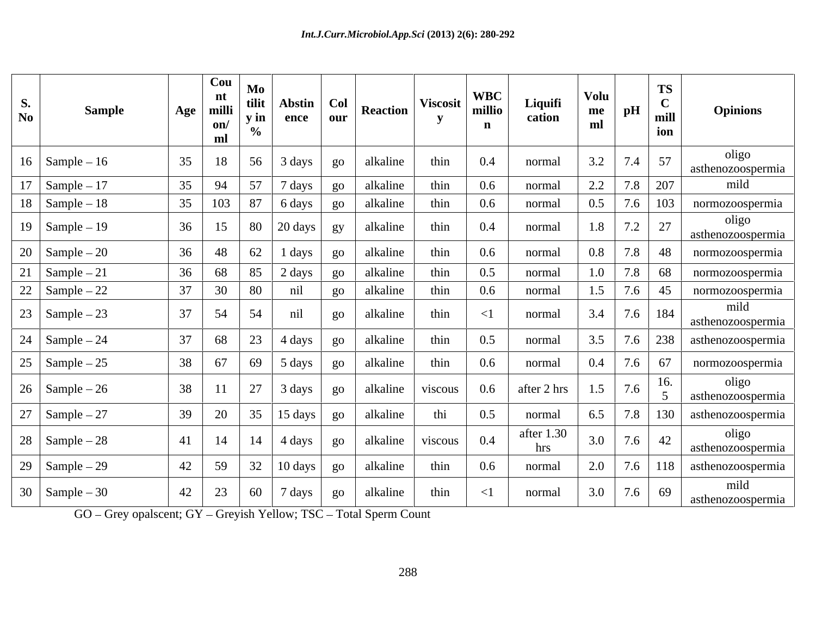| <b>S.</b><br>$\mathbf{N}\mathbf{0}$                                         | <b>Sample</b> | Age | $\vert$ Cou<br>nt<br>milli<br>on/<br>ml               | M <sub>0</sub><br>tilit<br>$\mathbf v$ in | Abstin   Col<br>$\frac{1}{2}$ ence                                                                    | $\vert$ our $\vert$        | Reaction         | <b>Viscosit</b>  | <b>WBC</b><br>millio | Liquifi<br>cation   | Volu<br>me<br>ml | TS<br>ion | <b>Opinions</b>                                   |
|-----------------------------------------------------------------------------|---------------|-----|-------------------------------------------------------|-------------------------------------------|-------------------------------------------------------------------------------------------------------|----------------------------|------------------|------------------|----------------------|---------------------|------------------|-----------|---------------------------------------------------|
| $16$ Sample – 16                                                            |               | 35  | $\vert$ 56 $\vert$<br>18                              |                                           | 3 days                                                                                                | $\log$                     | alkaline         | thin             | $0.4\,$              | normal              | 3.2              | 7.4 57    | oligo<br>asthenozoospermia                        |
| $17$ Sample – 17                                                            |               |     | 35   94<br>$\frac{57}{ }$                             |                                           | 7 days                                                                                                | $\overline{Q}O$            | alkaline         | thin             | $0.6\,$              | normal              | $2.2\,$          | 7.8 207   | mild                                              |
| $18$ Sample – 18                                                            |               |     | 35 103 87                                             |                                           | $6 \, \text{days}$                                                                                    | $\rm go$                   | alkaline         | thin             | $0.6\,$              | normal              | $0.5\,$          | $7.6$ 103 | normozoospermia                                   |
| $19$ Sample – 19                                                            |               | 36  | $15 \mid 80 \mid 20 \text{ days} \mid \text{gy} \mid$ |                                           |                                                                                                       |                            | alkaline         | thin             | $0.4\,$              | normal              | 1.8              | $7.2$ 27  | oligo<br>asthenozoospermia                        |
| $\vert 20 \vert$ Sample – 20                                                |               | 36  | 48<br>$\boxed{62}$                                    |                                           | $\cdot$ 1 days $\cdot$                                                                                | go                         | alkaline         | thin             | $0.6\,$              | normal              | $0.8\,$          | $7.8$ 48  | normozoospermia                                   |
| $21$ Sample $-21$                                                           |               | 36  | 85<br>68                                              |                                           | 2 days                                                                                                | $g_{O}$                    | alkaline         | thin             | 0.5                  | normal              | 1.0              | 7.8 68    | normozoospermia                                   |
| 22 $\text{Sample} - 22$                                                     |               | 37  | 30                                                    | 80                                        | nil                                                                                                   | $g_{O}$                    | alkaline         | thin             | $0.6\,$              | normal              |                  | $7.6$ 45  | normozoospermia                                   |
| $23$ Sample $-23$                                                           |               | 37  | 54<br>54                                              |                                           | nil                                                                                                   | $g_{0}$                    | alkaline         | thin             |                      | normal              | 3.4              | 7.6 184   | mild<br>asthenozoospermia                         |
| $\begin{array}{ c c } \hline 24 & \text{Sample} - 24 \\ \hline \end{array}$ |               |     | 68<br>$\overline{23}$                                 |                                           | $\sim$ 1 4 days 1 $\sim$                                                                              | $\rm go$                   | alkaline         | thin             | 0.5                  | normal              | 3.5              | $7.6$ 238 | asthenozoospermia                                 |
| $25$ Sample $-25$                                                           |               | 38  | 67                                                    |                                           | $\begin{array}{ c c } \hline 69 & 5 \text{ days} \end{array}$                                         | $\boldsymbol{\mathsf{go}}$ | alkaline         | thin             | $0.6\,$              | normal              | 0.4              | 7.6 67    | normozoospermia                                   |
| $26 \mid$ Sample $-26$                                                      |               | 38  | $\begin{array}{ c c } \hline 27 \end{array}$<br>11    |                                           | 3 days                                                                                                | $\log$                     |                  | alkaline viscous | $0.6\,$              | after 2 hrs $\vert$ | 7.6<br>1.5       | 16.       | oligo<br>asthenozoospermia                        |
| 27   Sample $-27$                                                           |               | 39  | 20                                                    |                                           | $35 \mid 15 \text{ days}$                                                                             | go                         | alkaline         | thi              | 0.5                  | normal              | 6.5              |           | $\vert$ 7.8 $\vert$ 130 $\vert$ asthenozoospermia |
| $28$ Sample $-28$                                                           |               |     | $41$   14   14   4 days                               |                                           |                                                                                                       | $ $ go $ $                 |                  | alkaline viscous | 0.4                  | after 1.30<br>hrs   | 3.0              | $7.6$ 42  | oligo<br>asthenozoospermia                        |
| $29$ Sample $-29$                                                           |               | 42  | 59                                                    |                                           | $\begin{array}{ c c c c c } \hline 32 & 10 \text{ days} \end{array}$                                  | $g_{O}$                    | alkaline         | thin             | $0.6\,$              | normal              |                  |           | $2.0$   7.6   118   asthenozoospermia             |
| $30 \mid$ Sample $-30$                                                      |               | 42  | 23                                                    |                                           | $\begin{array}{ c c c c c c } \hline \rule{0pt}{1.6ex} & 60 & 7 \text{ days} & \text{go} \end{array}$ |                            | alkaline $\vert$ | thin             | $\leq$ 1             | normal              | $3.0$ 7.6 69     |           | mild<br>asthenozoospermia                         |

GO - Grey opalscent; GY - Greyish Yellow; TSC - Total Sperm Count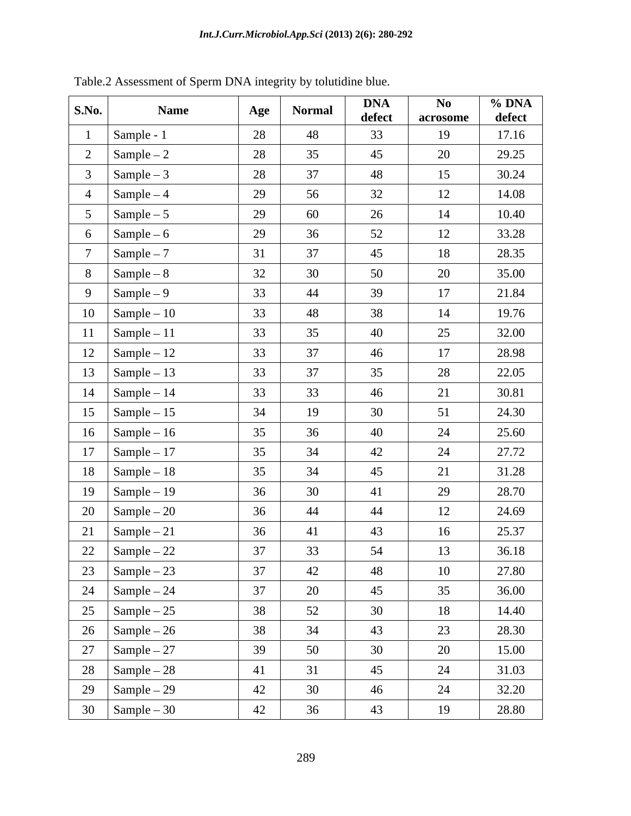| S.No.<br><b>Name</b>               | Age | <b>Normal</b> | <b>DNA</b><br>defect | $\mathbf{No}$<br>acrosome | $\%$ DNA<br>defect |
|------------------------------------|-----|---------------|----------------------|---------------------------|--------------------|
| Sample - 1                         | 28  | 48            | 33                   | 19                        | 17.16              |
| Sample $-2$                        | 28  | 35            | 45                   | 20                        | 29.25              |
| Sample $-3$                        | 28  | 37            | 48                   | 15                        | 30.24              |
| $Sample-4$                         | 29  | 56            | 32                   | 12                        | 14.08              |
| Sample $-5$                        | 29  | 60            | 26                   | 14                        | 10.40              |
| $Sample-6$<br>6                    | 29  | 36            | 52                   | 12                        | 33.28              |
| $Sample-7$                         | 31  | 37            | 45                   | 18                        | 28.35              |
| $Sample-8$<br>8                    | 32  | 30            | 50                   | 20                        | 35.00              |
| 9<br>$Sample-9$                    | 33  | 44            | 39                   | 17                        | 21.84              |
| 10<br>$\text{Sample} - 10$         | 33  | 48            | 38                   | 14                        | 19.76              |
| Sample $-11$<br>11                 | 33  | 35            | 40                   | 25                        | 32.00              |
| 12<br>Sample $-12$                 | 33  | 37            | 46                   | 17                        | 28.98              |
| 13<br>$\vert$ Sample – 13          | 33  | 37            | 35                   | 28                        | 22.05              |
| 14<br>$Sample-14$                  | 33  | 33            | 46                   | 21                        | 30.81              |
| 15<br>$Sample-15$                  | 34  | 19            | 30                   | 51                        | 24.30              |
| 16 $\vert$ Sample – 16             | 35  | 36            | 40                   | 24                        | 25.60              |
| 17<br>Sample $-17$                 | 35  | 34            | 42                   | 24                        | 27.72              |
| 18<br>$\Gamma$ Sample – 18         | 35  | 34            | 45                   | 21                        | 31.28              |
| 19<br>$Sample-19$                  | 36  | 30            | 41                   | 29                        | 28.70              |
| 20<br>Sample $-20$                 | 36  | 44            | 44                   | 12                        | 24.69              |
| 21<br>Sample $-21$                 | 36  | 41            | 43                   | 16                        | 25.37              |
| 22<br>$\boxed{\text{Sample} - 22}$ | 37  | 33            | 54                   | 13                        | 36.18              |
| 23   Sample – 23                   | 37  | 42            | 48                   | 10                        | 27.80              |
| 24 $\Big \text{Sample}-24\Big $    | 37  | 20            | 45                   | 35                        | 36.00              |
| 25 $\Big $ Sample – 25             | 38  | 52            | 30                   | 18                        | 14.40              |
| 26   Sample – 26                   | 38  | 34            | 43                   | 23                        | 28.30              |
| 27   Sample – 27                   | 39  | 50            | 30                   | 20                        | 15.00              |
| $28 \int$ Sample – 28              | 41  | 31            | 45                   | 24                        | 31.03              |
| 29   Sample – 29                   | 42  | 30            | 46                   | 24                        | 32.20              |
| $30 \quad \text{Sample} - 30$      | 42  | 36            | 43                   | 19                        | 28.80              |

Table.2 Assessment of Sperm DNA integrity by tolutidine blue.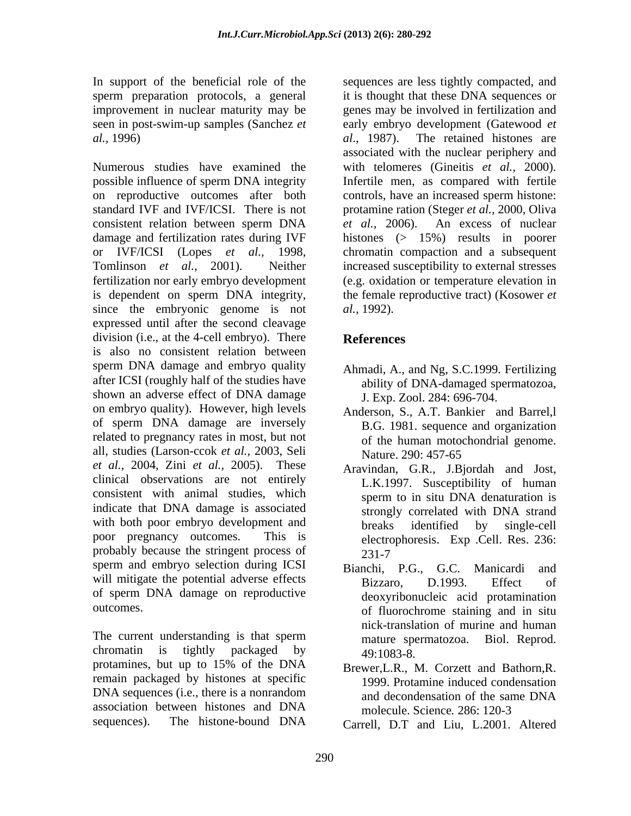In support of the beneficial role of the sequences are less tightly compacted, and sperm preparation protocols, a general

Numerous studies have examined the with telomeres (Gineitis *et al.,* 2000). possible influence of sperm DNA integrity Infertile men, as compared with fertile on reproductive outcomes after both controls, have an increased sperm histone: standard IVF and IVF/ICSI. There is not protamine ration (Steger *et al.,* 2000, Oliva consistent relation between sperm DNA *et al.*, 2006). An excess of nuclear damage and fertilization rates during IVF histones (> 15%) results in poorer or IVF/ICSI (Lopes *et al.,* 1998, chromatin compaction and a subsequent Tomlinson *et al.,* 2001). Neither increased susceptibility to external stresses fertilization nor early embryo development (e.g. oxidation or temperature elevation in is dependent on sperm DNA integrity, the female reproductive tract) (Kosower *et* since the embryonic genome is not *al.*, 1992). expressed until after the second cleavage division (i.e., at the 4-cell embryo). There References is also no consistent relation between sperm DNA damage and embryo quality after ICSI (roughly half of the studies have shown an adverse effect of DNA damage on embryo quality). However, high levels of sperm DNA damage are inversely related to pregnancy rates in most, but not all, studies (Larson-ccok *et al.,* 2003, Seli *et al.,* 2004, Zini *et al.,* 2005). These clinical observations are not entirely consistent with animal studies, which indicate that DNA damage is associated strongly correlated with DNA strand with both poor embryo development and breaks identified by single-cell poor pregnancy outcomes. This is electrophoresis. Exp .Cell. Res. 236: probably because the stringent process of 231-7 sperm and embryo selection during ICSI Bianchi, P.G., G.C. Manicardi and will mitigate the potential adverse effects<br>
Bizzaro, D.1993. Effect of of sperm DNA damage on reproductive

The current understanding is that sperm mature spermatozoa. Biol. Reprod. chromatin is tightly packaged by  $49:1083-8$ protamines, but up to 15% of the DNA Brewer L.R., M. Corzett and Bathorn R remain packaged by histones at specific DNA sequences (i.e., there is a nonrandom and decondensation of the same DNA association between histones and DNA molecule Science 286: 120-3 sequences). The histone-bound DNA Carrell, D.T and Liu, L.2001, Altered

improvement in nuclear maturity may be genes may be involved in fertilization and seen in post-swim-up samples (Sanchez *et* early embryo development (Gatewood *et al.,* 1996) *al*., 1987). The retained histones are it is thought that these DNA sequences or associated with the nuclear periphery and *et al.,* 2006). An excess of nuclear *al.,* 1992).

# **References**

- Ahmadi, A., and Ng, S.C.1999. Fertilizing ability of DNA-damaged spermatozoa, J. Exp. Zool. 284: 696-704.
- Anderson, S., A.T. Bankier and Barrel,l B.G. 1981. sequence and organization of the human motochondrial genome. Nature. 290: 457-65
- Aravindan, G.R., J.Bjordah and Jost, L.K.1997. Susceptibility of human sperm to in situ DNA denaturation is strongly correlated with DNA strand breaks identified by single-cell 231-7
- outcomes. of fluorochrome staining and in situ Bianchi, P.G., G.C. Manicardi and Bizzaro, D.1993. Effect of deoxyribonucleic acid protamination nick-translation of murine and human mature spermatozoa. Biol. Reprod. 49:1083-8.
	- Brewer,L.R., M. Corzett and Bathorn,R. 1999. Protamine induced condensation and decondensation of the same DNA molecule. Science*.* 286: 120-3
	- Carrell, D.T and Liu, L.2001. Altered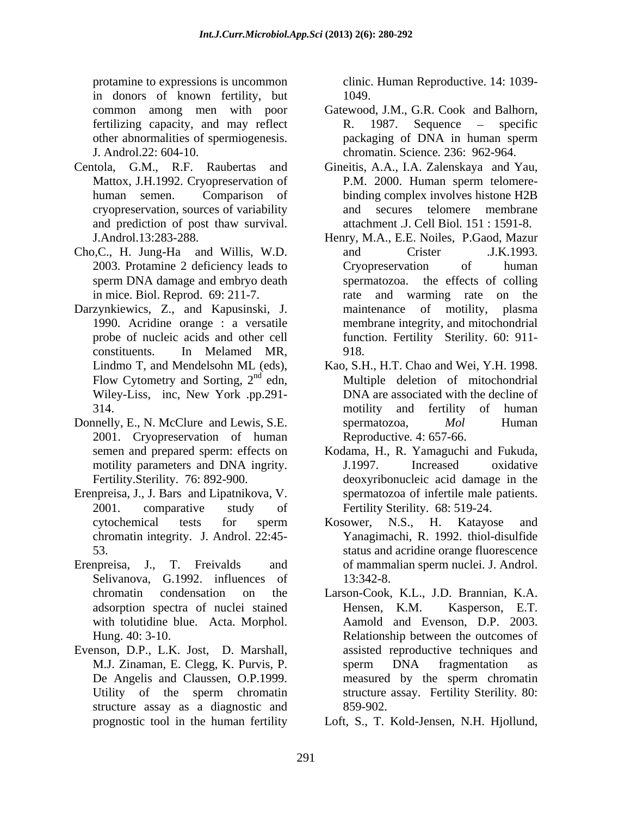protamine to expressions is uncommon clinic. Human Reproductive. 14: 1039 in donors of known fertility, but

- and prediction of post thaw survival.
- Cho,C., H. Jung-Ha and Willis, W.D. sperm DNA damage and embryo death
- Darzynkiewics, Z., and Kapusinski, J. maintenance of motility, plasma
- Donnelly, E., N. McClure and Lewis, S.E. spermatozoa, *Mol* Human 2001. Cryopreservation of human Reproductive. 4: 657-66.
- Erenpreisa, J., J. Bars and Lipatnikova, V.
- Erenpreisa, J., T. Freivalds and of mammalian sperm nuclei. J. Androl. Selivanova, G.1992. influences of 13:342-8. adsorption spectra of nuclei stained
- Evenson, D.P., L.K. Jost, D. Marshall, assisted reproductive techniques and M.J. Zinaman, E. Clegg, K. Purvis, P. Sperm DNA fragmentation as structure assay as a diagnostic and 859-902.

1049.

- common among men with poor Gatewood, J.M., G.R. Cook and Balhorn, fertilizing capacity, and may reflect R. 1987. Sequence – specific other abnormalities of spermiogenesis. J. Androl.22: 604-10. chromatin. Science*.* 236: 962-964. R. 1987. Sequence – specific packaging of DNA in human sperm
- Centola, G.M., R.F. Raubertas and Gineitis, A.A., I.A. Zalenskaya and Yau, Mattox, J.H.1992. Cryopreservation of P.M. 2000. Human sperm telomerehuman semen. Comparison of binding complex involves histone H2B cryopreservation, sources of variability P.M. 2000. Human sperm telomere and secures telomere membrane attachment .J. Cell Biol*.* 151 : 1591-8.
	- J.Androl.13:283-288. Henry, M.A., E.E. Noiles, P.Gaod, Mazur 2003. Protamine 2 deficiency leads to in mice. Biol. Reprod. 69: 211-7. rate and warming rate on the 1990. Acridine orange : a versatile membrane integrity, and mitochondrial probe of nucleic acids and other cell function. Fertility Sterility. 60: 911 constituents. In Melamed MR, and Crister .J.K.1993. Cryopreservation of human spermatozoa. the effects of colling maintenance of motility, plasma 918.
	- Lindmo T, and Mendelsohn ML (eds), Kao, S.H., H.T. Chao and Wei, Y.H. 1998. Flow Cytometry and Sorting,  $2^{nd}$  edn, Multiple deletion of mitochondrial Flow Cytometry and Sorting,  $2^{nd}$  edn,<br>Wiley-Liss, inc, New York .pp.291-<br>DNA are associated with the decline of 314. The motion of the motion of the motion of the motion of the motion of the motion of the motion of the motion of the motion of the motion of the motion of the motion of the motion of the motion of the motion of the mot DNA are associated with the decline of motility and fertility of human spermatozoa, *Mol* Human Reproductive*.* 4: 657-66.
	- semen and prepared sperm: effects on Kodama, H., R. Yamaguchi and Fukuda, motility parameters and DNA ingrity. **I** 1997. Increased oxidative Fertility.Sterility. 76: 892-900. deoxyribonucleic acid damage in the 2001. comparative study of Fertility Sterility. 68: 519-24. Kodama, H., R. Yamaguchi and Fukuda, J.1997. Increased oxidative spermatozoa of infertile male patients.
	- cytochemical tests for sperm Kosower, N.S., H. Katayose and chromatin integrity. J. Androl. 22:45- Yanagimachi, R. 1992. thiol-disulfide 53. status and acridine orange fluorescence Kosower, N.S., H. Katayose and 13:342-8.
	- chromatin condensation on the Larson-Cook, K.L., J.D. Brannian, K.A. with tolutidine blue. Acta. Morphol. Aamold and Evenson, D.P. 2003. Hung. 40: 3-10. Relationship between the outcomes of De Angelis and Claussen, O.P.1999. The measured by the sperm chromatin Utility of the sperm chromatin structure assay. Fertility Sterility 80: Kasperson, E.T. assisted reproductive techniques and sperm DNA fragmentation as measured by the sperm chromatin structure assay. Fertility Sterility*.* 80: 859-902.
	- prognostic tool in the human fertility Loft, S., T. Kold-Jensen, N.H. Hjollund,